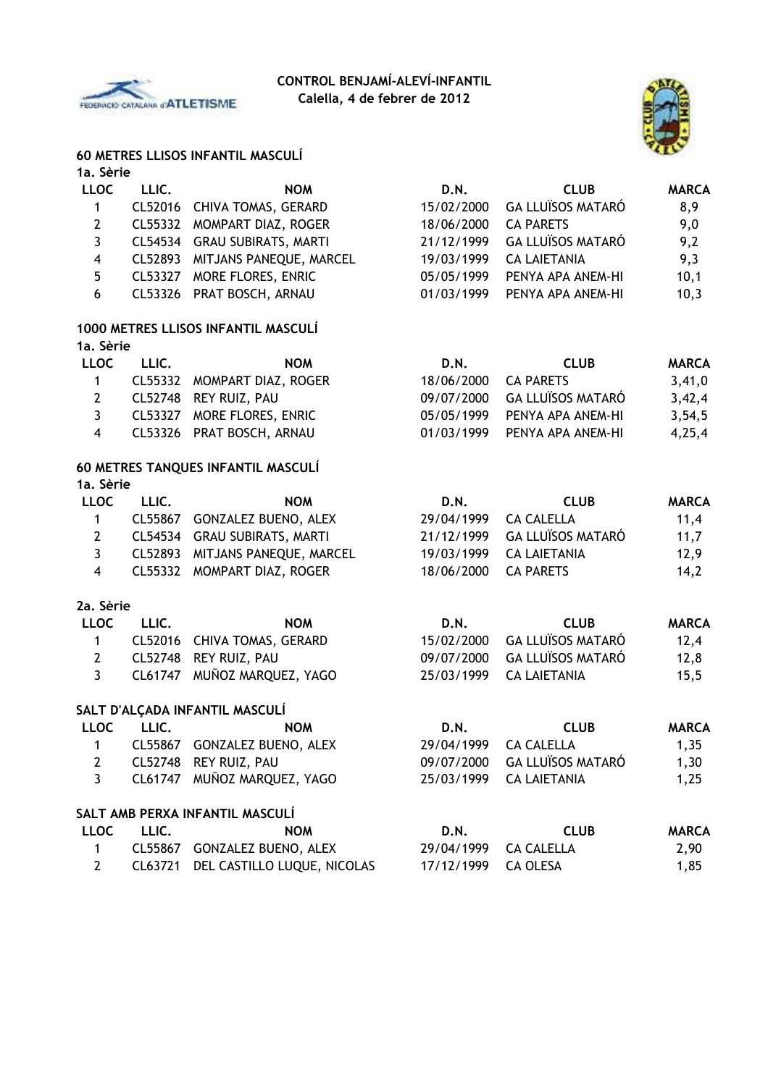



## **60 METRES LLISOS INFANTIL MASCULÍ**

#### **1a. Sèrie**

| <b>LLOC</b> | LLIC. | <b>NOM</b>                      | D.N.       | <b>CLUB</b>              | <b>MARCA</b> |
|-------------|-------|---------------------------------|------------|--------------------------|--------------|
| 1           |       | CL52016 CHIVA TOMAS, GERARD     | 15/02/2000 | <b>GA LLUÏSOS MATARÓ</b> | 8,9          |
| 2           |       | CL55332 MOMPART DIAZ, ROGER     | 18/06/2000 | <b>CA PARETS</b>         | 9,0          |
| 3           |       | CL54534 GRAU SUBIRATS, MARTI    | 21/12/1999 | <b>GA LLUÏSOS MATARÓ</b> | 9,2          |
| 4           |       | CL52893 MITJANS PANEQUE, MARCEL | 19/03/1999 | <b>CA LAIETANIA</b>      | 9,3          |
| 5           |       | CL53327 MORE FLORES, ENRIC      | 05/05/1999 | PENYA APA ANEM-HI        | 10,1         |
| 6           |       | CL53326 PRAT BOSCH, ARNAU       | 01/03/1999 | PENYA APA ANEM-HI        | 10,3         |
|             |       |                                 |            |                          |              |

### **1000 METRES LLISOS INFANTIL MASCULÍ 1a. Sèrie**

| <b>LLOC</b> | LLIC. | <b>NOM</b>                  | D.N.                 | <b>CLUB</b>                  | <b>MARCA</b> |
|-------------|-------|-----------------------------|----------------------|------------------------------|--------------|
|             |       | CL55332 MOMPART DIAZ, ROGER | 18/06/2000 CA PARETS |                              | 3,41,0       |
| 2           |       | CL52748 REY RUIZ, PAU       |                      | 09/07/2000 GA LLUÏSOS MATARÓ | 3,42,4       |
|             |       | CL53327 MORE FLORES, ENRIC  |                      | 05/05/1999 PENYA APA ANEM-HI | 3.54.5       |
|             |       | CL53326 PRAT BOSCH, ARNAU   |                      | 01/03/1999 PENYA APA ANEM-HI | 4.25.4       |
|             |       |                             |                      |                              |              |

#### **60 METRES TANQUES INFANTIL MASCULÍ 1a. Sèrie**

| LLOC | LLIC. | <b>NOM</b>                      | D.N.       | <b>CLUB</b>                  | <b>MARCA</b> |
|------|-------|---------------------------------|------------|------------------------------|--------------|
|      |       | CL55867 GONZALEZ BUENO, ALEX    | 29/04/1999 | CA CALELLA                   | 11,4         |
|      |       | CL54534 GRAU SUBIRATS, MARTI    |            | 21/12/1999 GA LLUÏSOS MATARÓ | 11,7         |
|      |       | CL52893 MITJANS PANEQUE, MARCEL | 19/03/1999 | CA LAIETANIA                 | 12,9         |
| 4    |       | CL55332 MOMPART DIAZ, ROGER     | 18/06/2000 | CA PARETS                    | 14.2         |

#### **2a. Sèrie**

| LLOC | LLIC. | <b>NOM</b>                  | D.N. | <b>CLUB</b>                  | <b>MARCA</b> |
|------|-------|-----------------------------|------|------------------------------|--------------|
|      |       | CL52016 CHIVA TOMAS, GERARD |      | 15/02/2000 GA LLUÏSOS MATARÓ | 12.4         |
|      |       | CL52748 REY RUIZ, PAU       |      | 09/07/2000 GA LLUÏSOS MATARÓ | 12,8         |
|      |       | CL61747 MUÑOZ MARQUEZ, YAGO |      | 25/03/1999 CA LAIETANIA      | 15,5         |

#### **SALT D'ALÇADA INFANTIL MASCULÍ**

| <b>LLOC</b>  | LLIC.                           | <b>NOM</b>                  | D.N.       | <b>CLUB</b>              | <b>MARCA</b> |  |  |  |  |
|--------------|---------------------------------|-----------------------------|------------|--------------------------|--------------|--|--|--|--|
| 1            | CL55867                         | <b>GONZALEZ BUENO, ALEX</b> | 29/04/1999 | <b>CA CALELLA</b>        | 1,35         |  |  |  |  |
| 2            | CL52748                         | REY RUIZ, PAU               | 09/07/2000 | <b>GA LLUÏSOS MATARÓ</b> | 1,30         |  |  |  |  |
| 3            |                                 | CL61747 MUÑOZ MARQUEZ, YAGO | 25/03/1999 | <b>CA LAIETANIA</b>      | 1,25         |  |  |  |  |
|              | SALT AMB PERXA INFANTIL MASCULÍ |                             |            |                          |              |  |  |  |  |
| <b>LLOC</b>  | LLIC.                           | <b>NOM</b>                  | D.N.       | <b>CLUB</b>              | <b>MARCA</b> |  |  |  |  |
| 1            | CL55867                         | <b>GONZALEZ BUENO, ALEX</b> | 29/04/1999 | <b>CA CALELLA</b>        | 2,90         |  |  |  |  |
| $\mathbf{2}$ | CL63721                         | DEL CASTILLO LUQUE, NICOLAS | 17/12/1999 | <b>CA OLESA</b>          | 1,85         |  |  |  |  |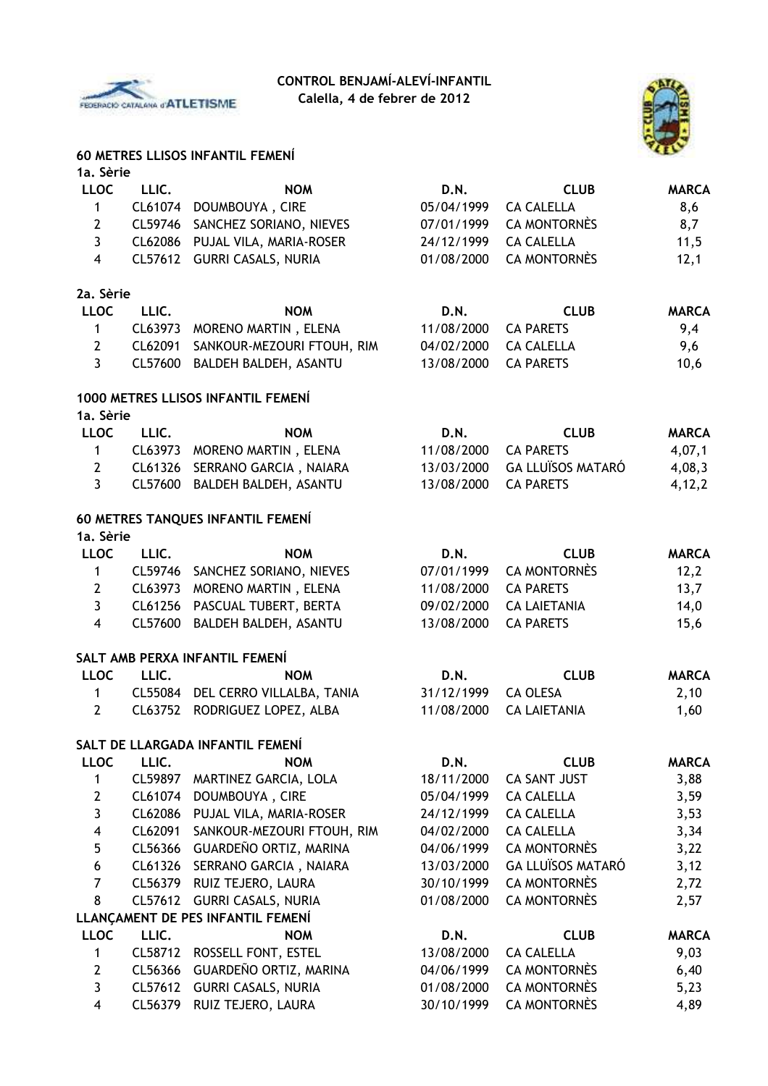



#### **60 METRES LLISOS INFANTIL FEMENÍ**

| 1a. Sèrie               |         |                                    |            |                          |              |
|-------------------------|---------|------------------------------------|------------|--------------------------|--------------|
| <b>LLOC</b>             | LLIC.   | <b>NOM</b>                         | D.N.       | <b>CLUB</b>              | <b>MARCA</b> |
| $\mathbf{1}$            |         | CL61074 DOUMBOUYA, CIRE            | 05/04/1999 | <b>CA CALELLA</b>        | 8,6          |
| $\mathbf{2}$            | CL59746 | SANCHEZ SORIANO, NIEVES            | 07/01/1999 | <b>CA MONTORNÈS</b>      | 8,7          |
| $\overline{3}$          | CL62086 | PUJAL VILA, MARIA-ROSER            | 24/12/1999 | <b>CA CALELLA</b>        | 11,5         |
| $\overline{\mathbf{4}}$ | CL57612 | <b>GURRI CASALS, NURIA</b>         | 01/08/2000 | <b>CA MONTORNÈS</b>      | 12,1         |
| 2a. Sèrie               |         |                                    |            |                          |              |
| <b>LLOC</b>             | LLIC.   | <b>NOM</b>                         | D.N.       | <b>CLUB</b>              | <b>MARCA</b> |
| $\mathbf{1}$            | CL63973 | MORENO MARTIN, ELENA               | 11/08/2000 | <b>CA PARETS</b>         | 9,4          |
| $\overline{2}$          | CL62091 | SANKOUR-MEZOURI FTOUH, RIM         | 04/02/2000 | <b>CA CALELLA</b>        | 9,6          |
| $\overline{3}$          | CL57600 | BALDEH BALDEH, ASANTU              | 13/08/2000 | <b>CA PARETS</b>         | 10,6         |
|                         |         | 1000 METRES LLISOS INFANTIL FEMENÍ |            |                          |              |
| 1a. Sèrie               |         |                                    |            |                          |              |
| <b>LLOC</b>             | LLIC.   | <b>NOM</b>                         | D.N.       | <b>CLUB</b>              | <b>MARCA</b> |
| $\mathbf{1}$            |         | CL63973 MORENO MARTIN, ELENA       | 11/08/2000 | <b>CA PARETS</b>         | 4,07,1       |
| $\mathbf{2}$            | CL61326 | SERRANO GARCIA, NAIARA             | 13/03/2000 | <b>GA LLUÏSOS MATARÓ</b> | 4,08,3       |
| $\overline{3}$          | CL57600 | BALDEH BALDEH, ASANTU              | 13/08/2000 | <b>CA PARETS</b>         | 4, 12, 2     |
|                         |         | 60 METRES TANQUES INFANTIL FEMENÍ  |            |                          |              |
| 1a. Sèrie               |         |                                    |            |                          |              |
| <b>LLOC</b>             | LLIC.   | <b>NOM</b>                         | D.N.       | <b>CLUB</b>              | <b>MARCA</b> |
| $\mathbf{1}$            | CL59746 | SANCHEZ SORIANO, NIEVES            | 07/01/1999 | <b>CA MONTORNÈS</b>      | 12,2         |
| $\mathbf{2}$            | CL63973 | MORENO MARTIN, ELENA               | 11/08/2000 | <b>CA PARETS</b>         | 13,7         |
| $\mathbf{3}$            | CL61256 | PASCUAL TUBERT, BERTA              | 09/02/2000 | <b>CA LAIETANIA</b>      | 14,0         |
| $\overline{\mathbf{4}}$ | CL57600 | BALDEH BALDEH, ASANTU              | 13/08/2000 | <b>CA PARETS</b>         | 15,6         |
|                         |         | SALT AMB PERXA INFANTIL FEMENÍ     |            |                          |              |
| <b>LLOC</b>             | LLIC.   | <b>NOM</b>                         | D.N.       | <b>CLUB</b>              | <b>MARCA</b> |
| $\mathbf{1}$            |         | CL55084 DEL CERRO VILLALBA, TANIA  | 31/12/1999 | <b>CA OLESA</b>          | 2,10         |
| $\overline{2}$          | CL63752 | RODRIGUEZ LOPEZ, ALBA              | 11/08/2000 | <b>CA LAIETANIA</b>      | 1,60         |
|                         |         | SALT DE LLARGADA INFANTIL FEMENÍ   |            |                          |              |
| <b>LLOC</b>             | LLIC.   | <b>NOM</b>                         | D.N.       | <b>CLUB</b>              | <b>MARCA</b> |
| 1                       | CL59897 | MARTINEZ GARCIA, LOLA              | 18/11/2000 | <b>CA SANT JUST</b>      | 3,88         |
| $\mathbf{2}$            | CL61074 | DOUMBOUYA, CIRE                    | 05/04/1999 | <b>CA CALELLA</b>        | 3,59         |
| $\mathbf{3}$            | CL62086 | PUJAL VILA, MARIA-ROSER            | 24/12/1999 | <b>CA CALELLA</b>        | 3,53         |
| $\overline{\mathbf{4}}$ | CL62091 | SANKOUR-MEZOURI FTOUH, RIM         | 04/02/2000 | <b>CA CALELLA</b>        | 3,34         |
| 5                       | CL56366 | <b>GUARDEÑO ORTIZ, MARINA</b>      | 04/06/1999 | <b>CA MONTORNÈS</b>      | 3,22         |
| $\boldsymbol{6}$        | CL61326 | SERRANO GARCIA, NAIARA             | 13/03/2000 | <b>GA LLUÏSOS MATARÓ</b> | 3,12         |
| $\overline{7}$          | CL56379 | RUIZ TEJERO, LAURA                 | 30/10/1999 | <b>CA MONTORNÈS</b>      | 2,72         |
| 8                       | CL57612 | <b>GURRI CASALS, NURIA</b>         | 01/08/2000 | <b>CA MONTORNÈS</b>      | 2,57         |
|                         |         | LLANÇAMENT DE PES INFANTIL FEMENÍ  |            |                          |              |
| <b>LLOC</b>             | LLIC.   | <b>NOM</b>                         | D.N.       | <b>CLUB</b>              | <b>MARCA</b> |
| $\mathbf{1}$            | CL58712 | ROSSELL FONT, ESTEL                | 13/08/2000 | <b>CA CALELLA</b>        | 9,03         |
| $\overline{2}$          | CL56366 | GUARDEÑO ORTIZ, MARINA             | 04/06/1999 | <b>CA MONTORNÈS</b>      | 6,40         |
| 3                       | CL57612 | <b>GURRI CASALS, NURIA</b>         | 01/08/2000 | <b>CA MONTORNÈS</b>      | 5,23         |
| $\overline{\mathbf{4}}$ | CL56379 | RUIZ TEJERO, LAURA                 | 30/10/1999 | <b>CA MONTORNÈS</b>      | 4,89         |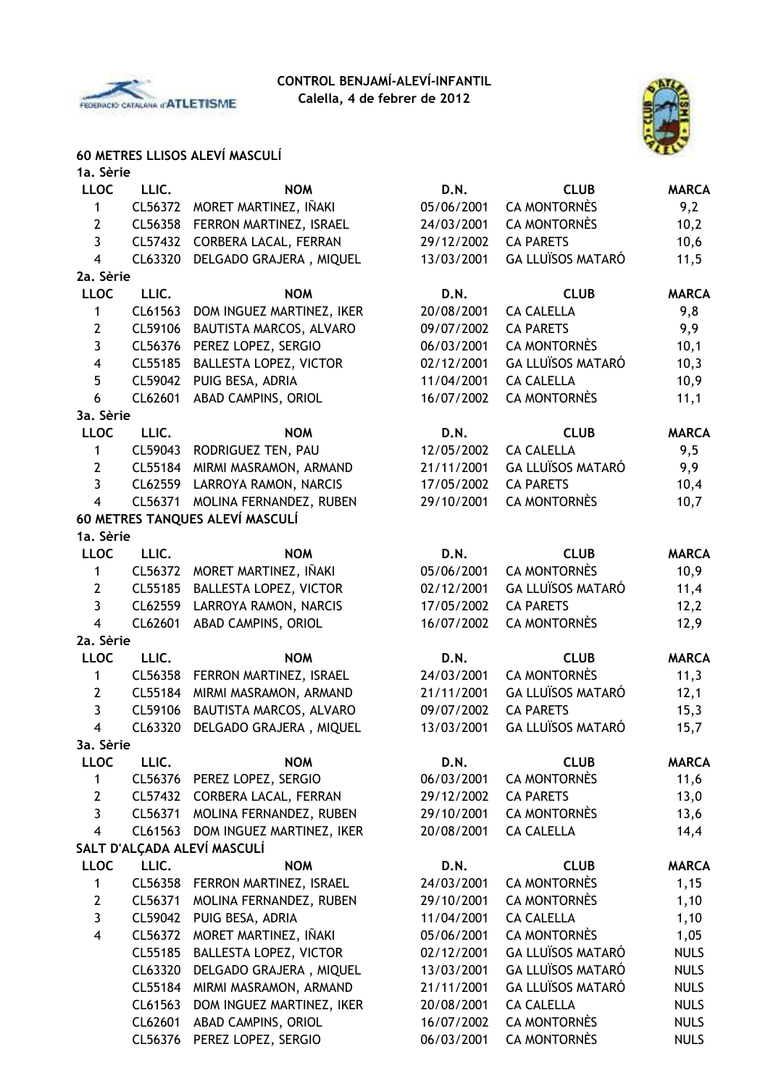



#### **60 METRES LLISOS ALEVÍ MASCULÍ 1a. Sèrie**

| 1a. Serie               |         |                                 |             |                          |              |
|-------------------------|---------|---------------------------------|-------------|--------------------------|--------------|
| <b>LLOC</b>             | LLIC.   | <b>NOM</b>                      | D.N.        | <b>CLUB</b>              | <b>MARCA</b> |
| 1                       | CL56372 | MORET MARTINEZ, IÑAKI           | 05/06/2001  | <b>CA MONTORNÈS</b>      | 9,2          |
| $\mathbf{2}$            | CL56358 | FERRON MARTINEZ, ISRAEL         | 24/03/2001  | <b>CA MONTORNÈS</b>      | 10,2         |
| $\overline{3}$          | CL57432 | CORBERA LACAL, FERRAN           | 29/12/2002  | <b>CA PARETS</b>         | 10,6         |
| $\overline{4}$          | CL63320 | DELGADO GRAJERA, MIQUEL         | 13/03/2001  | <b>GA LLUÏSOS MATARÓ</b> | 11,5         |
| 2a. Sèrie               |         |                                 |             |                          |              |
| <b>LLOC</b>             | LLIC.   | <b>NOM</b>                      | D.N.        | <b>CLUB</b>              | <b>MARCA</b> |
| 1                       | CL61563 | DOM INGUEZ MARTINEZ, IKER       | 20/08/2001  | <b>CA CALELLA</b>        | 9,8          |
| $\mathbf{2}$            | CL59106 | BAUTISTA MARCOS, ALVARO         | 09/07/2002  | <b>CA PARETS</b>         | 9,9          |
| 3                       | CL56376 | PEREZ LOPEZ, SERGIO             | 06/03/2001  | <b>CA MONTORNÈS</b>      | 10,1         |
| $\overline{\mathbf{4}}$ | CL55185 | BALLESTA LOPEZ, VICTOR          | 02/12/2001  | <b>GA LLUÏSOS MATARÓ</b> | 10,3         |
| 5                       | CL59042 | PUIG BESA, ADRIA                | 11/04/2001  | <b>CA CALELLA</b>        | 10,9         |
| 6                       | CL62601 | ABAD CAMPINS, ORIOL             | 16/07/2002  | <b>CA MONTORNÈS</b>      | 11,1         |
| 3a. Sèrie               |         |                                 |             |                          |              |
| <b>LLOC</b>             | LLIC.   | <b>NOM</b>                      | <b>D.N.</b> | <b>CLUB</b>              | <b>MARCA</b> |
| 1                       | CL59043 | RODRIGUEZ TEN, PAU              | 12/05/2002  | <b>CA CALELLA</b>        | 9,5          |
| $\overline{2}$          | CL55184 | MIRMI MASRAMON, ARMAND          | 21/11/2001  | <b>GA LLUÏSOS MATARÓ</b> | 9,9          |
| 3                       | CL62559 | LARROYA RAMON, NARCIS           | 17/05/2002  | <b>CA PARETS</b>         | 10,4         |
| $\overline{4}$          | CL56371 | MOLINA FERNANDEZ, RUBEN         | 29/10/2001  | <b>CA MONTORNÈS</b>      | 10,7         |
|                         |         | 60 METRES TANQUES ALEVÍ MASCULÍ |             |                          |              |
| 1a. Sèrie               |         |                                 |             |                          |              |
| <b>LLOC</b>             | LLIC.   | <b>NOM</b>                      | D.N.        | <b>CLUB</b>              | <b>MARCA</b> |
| 1                       | CL56372 | MORET MARTINEZ, IÑAKI           | 05/06/2001  | <b>CA MONTORNÈS</b>      | 10,9         |
| $\mathbf{2}$            | CL55185 | <b>BALLESTA LOPEZ, VICTOR</b>   | 02/12/2001  | <b>GA LLUÏSOS MATARÓ</b> | 11,4         |
| 3                       | CL62559 | LARROYA RAMON, NARCIS           | 17/05/2002  | <b>CA PARETS</b>         | 12,2         |
| 4                       | CL62601 | ABAD CAMPINS, ORIOL             | 16/07/2002  | <b>CA MONTORNÈS</b>      | 12,9         |
| 2a. Sèrie               |         |                                 |             |                          |              |
| <b>LLOC</b>             | LLIC.   | <b>NOM</b>                      | D.N.        | <b>CLUB</b>              | <b>MARCA</b> |
| 1                       | CL56358 | FERRON MARTINEZ, ISRAEL         | 24/03/2001  | <b>CA MONTORNÈS</b>      | 11,3         |
| $\overline{2}$          | CL55184 | MIRMI MASRAMON, ARMAND          | 21/11/2001  | GA LLUÏSOS MATARÓ        | 12,1         |
| 3                       | CL59106 | BAUTISTA MARCOS, ALVARO         | 09/07/2002  | <b>CA PARETS</b>         | 15,3         |
| $\overline{\mathbf{4}}$ | CL63320 | DELGADO GRAJERA, MIQUEL         | 13/03/2001  | <b>GA LLUÏSOS MATARÓ</b> | 15,7         |
| 3a. Sèrie               |         |                                 |             |                          |              |
| <b>LLOC</b>             | LLIC.   | <b>NOM</b>                      | D.N.        | <b>CLUB</b>              | <b>MARCA</b> |
| 1                       | CL56376 | PEREZ LOPEZ, SERGIO             | 06/03/2001  | <b>CA MONTORNÈS</b>      | 11,6         |
| $\mathbf{2}$            | CL57432 | CORBERA LACAL, FERRAN           | 29/12/2002  | <b>CA PARETS</b>         | 13,0         |
| 3                       | CL56371 | MOLINA FERNANDEZ, RUBEN         | 29/10/2001  | <b>CA MONTORNÈS</b>      | 13,6         |
| $\overline{4}$          | CL61563 | DOM INGUEZ MARTINEZ, IKER       | 20/08/2001  | <b>CA CALELLA</b>        | 14,4         |
|                         |         | SALT D'ALÇADA ALEVÍ MASCULÍ     |             |                          |              |
| <b>LLOC</b>             | LLIC.   | <b>NOM</b>                      | D.N.        | <b>CLUB</b>              | <b>MARCA</b> |
| 1                       | CL56358 | FERRON MARTINEZ, ISRAEL         | 24/03/2001  | <b>CA MONTORNÈS</b>      | 1,15         |
| $\mathbf{2}$            | CL56371 | MOLINA FERNANDEZ, RUBEN         | 29/10/2001  | <b>CA MONTORNÈS</b>      | 1,10         |
| 3                       | CL59042 | PUIG BESA, ADRIA                | 11/04/2001  | <b>CA CALELLA</b>        | 1,10         |
| 4                       | CL56372 | MORET MARTINEZ, IÑAKI           | 05/06/2001  | <b>CA MONTORNÈS</b>      | 1,05         |
|                         | CL55185 | BALLESTA LOPEZ, VICTOR          | 02/12/2001  | <b>GA LLUÏSOS MATARÓ</b> | <b>NULS</b>  |
|                         | CL63320 | DELGADO GRAJERA, MIQUEL         | 13/03/2001  | <b>GA LLUÏSOS MATARÓ</b> | <b>NULS</b>  |
|                         | CL55184 | MIRMI MASRAMON, ARMAND          | 21/11/2001  | <b>GA LLUÏSOS MATARÓ</b> | <b>NULS</b>  |
|                         | CL61563 | DOM INGUEZ MARTINEZ, IKER       | 20/08/2001  | <b>CA CALELLA</b>        | <b>NULS</b>  |
|                         | CL62601 | ABAD CAMPINS, ORIOL             | 16/07/2002  | <b>CA MONTORNÈS</b>      | <b>NULS</b>  |
|                         | CL56376 | PEREZ LOPEZ, SERGIO             | 06/03/2001  | <b>CA MONTORNÈS</b>      | <b>NULS</b>  |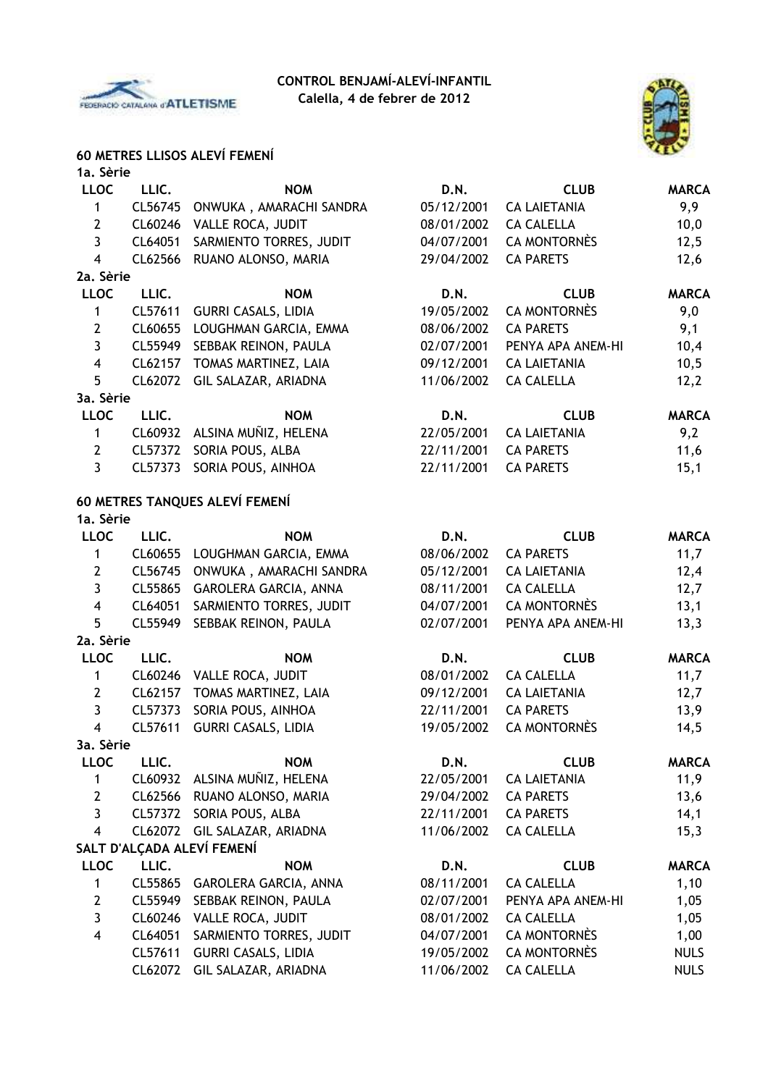



## **60 METRES LLISOS ALEVÍ FEMENÍ**

| 1a. Sèrie               |         |                                |            |                     |              |
|-------------------------|---------|--------------------------------|------------|---------------------|--------------|
| <b>LLOC</b>             | LLIC.   | <b>NOM</b>                     | D.N.       | <b>CLUB</b>         | <b>MARCA</b> |
| 1                       | CL56745 | ONWUKA, AMARACHI SANDRA        | 05/12/2001 | <b>CA LAIETANIA</b> | 9,9          |
| $\mathbf{2}$            | CL60246 | VALLE ROCA, JUDIT              | 08/01/2002 | <b>CA CALELLA</b>   | 10,0         |
| $\overline{3}$          | CL64051 | SARMIENTO TORRES, JUDIT        | 04/07/2001 | <b>CA MONTORNÈS</b> | 12,5         |
| $\overline{\mathbf{4}}$ | CL62566 | RUANO ALONSO, MARIA            | 29/04/2002 | <b>CA PARETS</b>    | 12,6         |
| 2a. Sèrie               |         |                                |            |                     |              |
| <b>LLOC</b>             | LLIC.   | <b>NOM</b>                     | D.N.       | <b>CLUB</b>         | <b>MARCA</b> |
| $\mathbf{1}$            | CL57611 | <b>GURRI CASALS, LIDIA</b>     | 19/05/2002 | <b>CA MONTORNÈS</b> | 9,0          |
| $\mathbf{2}$            | CL60655 | LOUGHMAN GARCIA, EMMA          | 08/06/2002 | <b>CA PARETS</b>    | 9,1          |
| $\overline{3}$          | CL55949 | SEBBAK REINON, PAULA           | 02/07/2001 | PENYA APA ANEM-HI   | 10,4         |
| $\overline{\mathbf{4}}$ | CL62157 | TOMAS MARTINEZ, LAIA           | 09/12/2001 | <b>CA LAIETANIA</b> | 10,5         |
| 5                       | CL62072 | GIL SALAZAR, ARIADNA           | 11/06/2002 | <b>CA CALELLA</b>   | 12,2         |
| 3a. Sèrie               |         |                                |            |                     |              |
| <b>LLOC</b>             | LLIC.   | <b>NOM</b>                     | D.N.       | <b>CLUB</b>         | <b>MARCA</b> |
| 1                       | CL60932 | ALSINA MUÑIZ, HELENA           | 22/05/2001 | <b>CA LAIETANIA</b> | 9,2          |
| $\mathbf{2}$            | CL57372 | SORIA POUS, ALBA               | 22/11/2001 | <b>CA PARETS</b>    | 11,6         |
| $\overline{3}$          | CL57373 | SORIA POUS, AINHOA             | 22/11/2001 | <b>CA PARETS</b>    | 15,1         |
|                         |         | 60 METRES TANQUES ALEVÍ FEMENÍ |            |                     |              |
| 1a. Sèrie               |         |                                |            |                     |              |
| <b>LLOC</b>             | LLIC.   | <b>NOM</b>                     | D.N.       | <b>CLUB</b>         | <b>MARCA</b> |
| 1                       | CL60655 | LOUGHMAN GARCIA, EMMA          | 08/06/2002 | <b>CA PARETS</b>    | 11,7         |
| $\mathbf{2}$            | CL56745 | ONWUKA, AMARACHI SANDRA        | 05/12/2001 | <b>CA LAIETANIA</b> | 12,4         |
| 3                       | CL55865 | GAROLERA GARCIA, ANNA          | 08/11/2001 | <b>CA CALELLA</b>   | 12,7         |
| $\overline{\mathbf{4}}$ | CL64051 | SARMIENTO TORRES, JUDIT        | 04/07/2001 | <b>CA MONTORNÈS</b> | 13,1         |
| 5                       | CL55949 | SEBBAK REINON, PAULA           | 02/07/2001 | PENYA APA ANEM-HI   | 13,3         |
| 2a. Sèrie               |         |                                |            |                     |              |
| <b>LLOC</b>             | LLIC.   | <b>NOM</b>                     | D.N.       | <b>CLUB</b>         | <b>MARCA</b> |
| 1                       | CL60246 | VALLE ROCA, JUDIT              | 08/01/2002 | <b>CA CALELLA</b>   | 11,7         |
| $\mathbf{2}$            | CL62157 | TOMAS MARTINEZ, LAIA           | 09/12/2001 | <b>CA LAIETANIA</b> | 12,7         |
| $\mathbf{3}$            | CL57373 | SORIA POUS, AINHOA             | 22/11/2001 | <b>CA PARETS</b>    | 13,9         |
| $\overline{\mathbf{4}}$ | CL57611 | <b>GURRI CASALS, LIDIA</b>     | 19/05/2002 | <b>CA MONTORNÈS</b> | 14,5         |
| 3a. Sèrie               |         |                                |            |                     |              |
| <b>LLOC</b>             | LLIC.   | <b>NOM</b>                     | D.N.       | <b>CLUB</b>         | <b>MARCA</b> |
| 1                       | CL60932 | ALSINA MUÑIZ, HELENA           | 22/05/2001 | <b>CA LAIETANIA</b> | 11,9         |
| $\mathbf{2}$            | CL62566 | RUANO ALONSO, MARIA            | 29/04/2002 | <b>CA PARETS</b>    | 13,6         |
| 3                       | CL57372 | SORIA POUS, ALBA               | 22/11/2001 | <b>CA PARETS</b>    | 14,1         |
| $\overline{\mathbf{4}}$ | CL62072 | GIL SALAZAR, ARIADNA           | 11/06/2002 | <b>CA CALELLA</b>   | 15,3         |
|                         |         | SALT D'ALCADA ALEVÍ FEMENÍ     |            |                     |              |
| <b>LLOC</b>             | LLIC.   | <b>NOM</b>                     | D.N.       | <b>CLUB</b>         | <b>MARCA</b> |
| 1                       |         | CL55865 GAROLERA GARCIA, ANNA  | 08/11/2001 | <b>CA CALELLA</b>   | 1,10         |
| $\mathbf{2}$            | CL55949 | SEBBAK REINON, PAULA           | 02/07/2001 | PENYA APA ANEM-HI   | 1,05         |
| 3                       | CL60246 | VALLE ROCA, JUDIT              | 08/01/2002 | <b>CA CALELLA</b>   | 1,05         |
| 4                       | CL64051 | SARMIENTO TORRES, JUDIT        | 04/07/2001 | <b>CA MONTORNÈS</b> | 1,00         |
|                         | CL57611 | <b>GURRI CASALS, LIDIA</b>     | 19/05/2002 | <b>CA MONTORNÈS</b> | <b>NULS</b>  |
|                         | CL62072 | GIL SALAZAR, ARIADNA           | 11/06/2002 | <b>CA CALELLA</b>   | <b>NULS</b>  |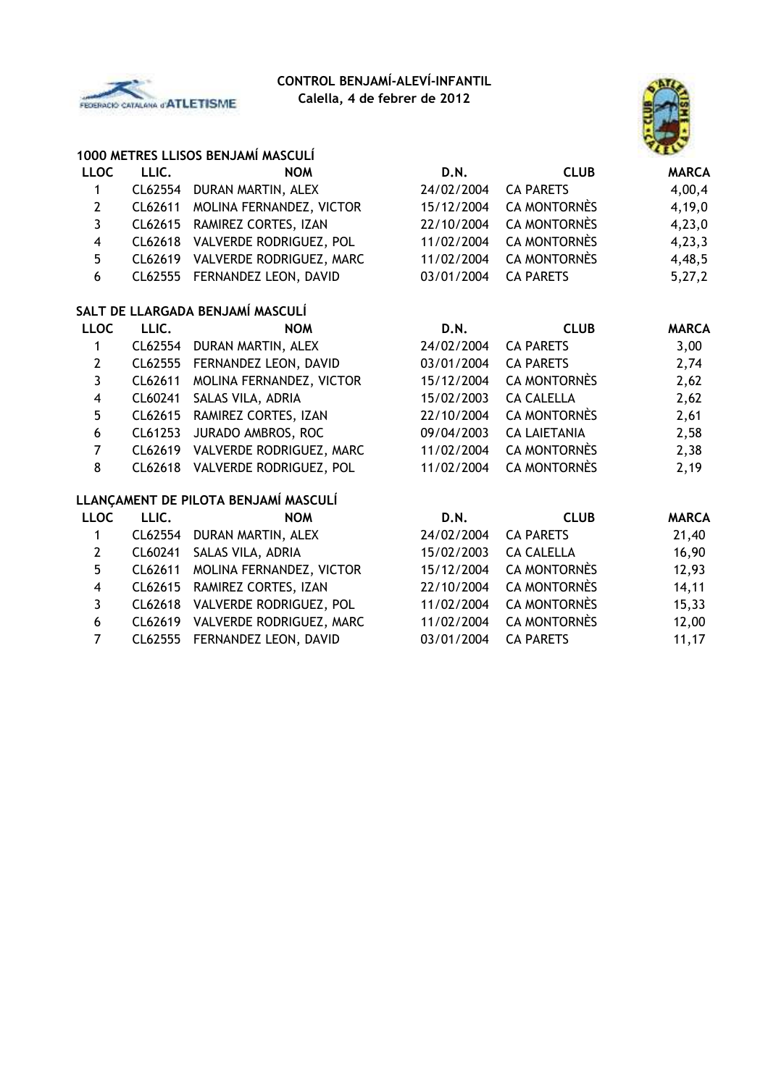

# **CONTROL BENJAMÍ-ALEVÍ-INFANTIL**

**Calella, 4 de febrer de 2012**



|                         |         | 1000 METRES LLISOS BENJAMÍ MASCULÍ   |             |                     |              |
|-------------------------|---------|--------------------------------------|-------------|---------------------|--------------|
| <b>LLOC</b>             | LLIC.   | <b>NOM</b>                           | D.N.        | <b>CLUB</b>         | <b>MARCA</b> |
| 1                       | CL62554 | DURAN MARTIN, ALEX                   | 24/02/2004  | <b>CA PARETS</b>    | 4,00,4       |
| $\mathbf{2}$            | CL62611 | MOLINA FERNANDEZ, VICTOR             | 15/12/2004  | <b>CA MONTORNÈS</b> | 4,19,0       |
| $\overline{\mathbf{3}}$ | CL62615 | RAMIREZ CORTES, IZAN                 | 22/10/2004  | <b>CA MONTORNÈS</b> | 4,23,0       |
| $\overline{\mathbf{4}}$ |         | CL62618 VALVERDE RODRIGUEZ, POL      | 11/02/2004  | <b>CA MONTORNÈS</b> | 4,23,3       |
| 5                       | CL62619 | VALVERDE RODRIGUEZ, MARC             | 11/02/2004  | <b>CA MONTORNÈS</b> | 4,48,5       |
| 6                       | CL62555 | FERNANDEZ LEON, DAVID                | 03/01/2004  | <b>CA PARETS</b>    | 5,27,2       |
|                         |         | SALT DE LLARGADA BENJAMÍ MASCULÍ     |             |                     |              |
| <b>LLOC</b>             | LLIC.   | <b>NOM</b>                           | <b>D.N.</b> | <b>CLUB</b>         | <b>MARCA</b> |
| 1                       | CL62554 | DURAN MARTIN, ALEX                   | 24/02/2004  | <b>CA PARETS</b>    | 3,00         |
| $\overline{2}$          | CL62555 | FERNANDEZ LEON, DAVID                | 03/01/2004  | <b>CA PARETS</b>    | 2,74         |
| 3                       | CL62611 | MOLINA FERNANDEZ, VICTOR             | 15/12/2004  | <b>CA MONTORNÈS</b> | 2,62         |
| 4                       | CL60241 | SALAS VILA, ADRIA                    | 15/02/2003  | <b>CA CALELLA</b>   | 2,62         |
| 5                       | CL62615 | RAMIREZ CORTES, IZAN                 | 22/10/2004  | <b>CA MONTORNÈS</b> | 2,61         |
| 6                       | CL61253 | JURADO AMBROS, ROC                   | 09/04/2003  | <b>CA LAIETANIA</b> | 2,58         |
| $\overline{7}$          | CL62619 | VALVERDE RODRIGUEZ, MARC             | 11/02/2004  | <b>CA MONTORNÈS</b> | 2,38         |
| 8                       | CL62618 | VALVERDE RODRIGUEZ, POL              | 11/02/2004  | <b>CA MONTORNÈS</b> | 2,19         |
|                         |         | LLANÇAMENT DE PILOTA BENJAMÍ MASCULÍ |             |                     |              |
| <b>LLOC</b>             | LLIC.   | <b>NOM</b>                           | D.N.        | <b>CLUB</b>         | <b>MARCA</b> |
| 1                       | CL62554 | DURAN MARTIN, ALEX                   | 24/02/2004  | <b>CA PARETS</b>    | 21,40        |
| $\overline{2}$          | CL60241 | SALAS VILA, ADRIA                    | 15/02/2003  | <b>CA CALELLA</b>   | 16,90        |
| 5                       | CL62611 | MOLINA FERNANDEZ, VICTOR             | 15/12/2004  | <b>CA MONTORNÈS</b> | 12,93        |
| $\overline{\mathbf{4}}$ | CL62615 | RAMIREZ CORTES, IZAN                 | 22/10/2004  | <b>CA MONTORNÈS</b> | 14, 11       |
| 3                       | CL62618 | VALVERDE RODRIGUEZ, POL              | 11/02/2004  | <b>CA MONTORNÈS</b> | 15,33        |
|                         |         |                                      |             |                     |              |

- CL62619 VALVERDE RODRIGUEZ, MARC 11/02/2004 CA MONTORNÈS 12,00
- CL62555 FERNANDEZ LEON, DAVID 03/01/2004 CA PARETS 11,17